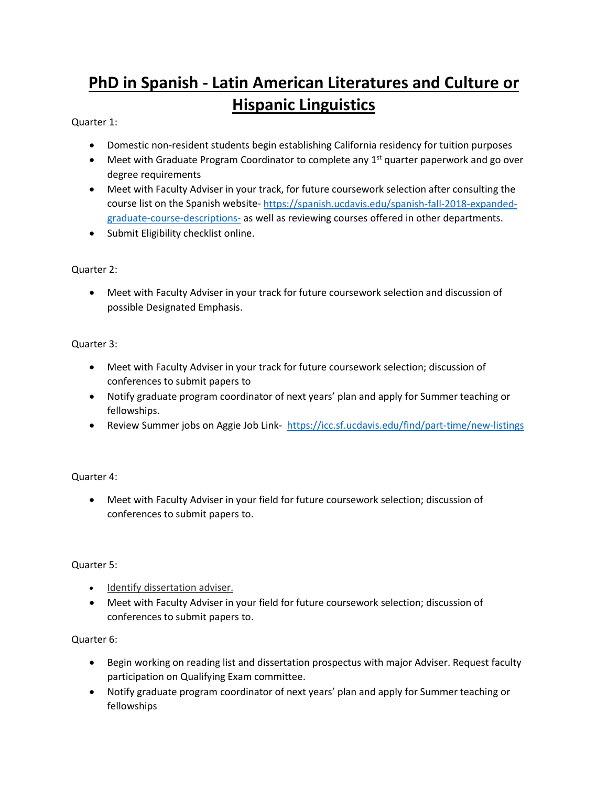# **PhD in Spanish - Latin American Literatures and Culture or Hispanic Linguistics**

## Quarter 1:

- Domestic non-resident students begin establishing California residency for tuition purposes
- Meet with Graduate Program Coordinator to complete any  $1<sup>st</sup>$  quarter paperwork and go over degree requirements
- Meet with Faculty Adviser in your track, for future coursework selection after consulting the course list on the Spanish website- [https://spanish.ucdavis.edu/spanish-fall-2018-expanded](https://spanish.ucdavis.edu/spanish-fall-2018-expanded-graduate-course-descriptions-)[graduate-course-descriptions-](https://spanish.ucdavis.edu/spanish-fall-2018-expanded-graduate-course-descriptions-) as well as reviewing courses offered in other departments.
- Submit Eligibility checklist online.

## Quarter 2:

• Meet with Faculty Adviser in your track for future coursework selection and discussion of possible Designated Emphasis.

## Quarter 3:

- Meet with Faculty Adviser in your track for future coursework selection; discussion of conferences to submit papers to
- Notify graduate program coordinator of next years' plan and apply for Summer teaching or fellowships.
- Review Summer jobs on Aggie Job Link- <https://icc.sf.ucdavis.edu/find/part-time/new-listings>

## Quarter 4:

• Meet with Faculty Adviser in your field for future coursework selection; discussion of conferences to submit papers to.

## Quarter 5:

- Identify dissertation adviser.
- Meet with Faculty Adviser in your field for future coursework selection; discussion of conferences to submit papers to.

## Quarter 6:

- Begin working on reading list and dissertation prospectus with major Adviser. Request faculty participation on Qualifying Exam committee.
- Notify graduate program coordinator of next years' plan and apply for Summer teaching or fellowships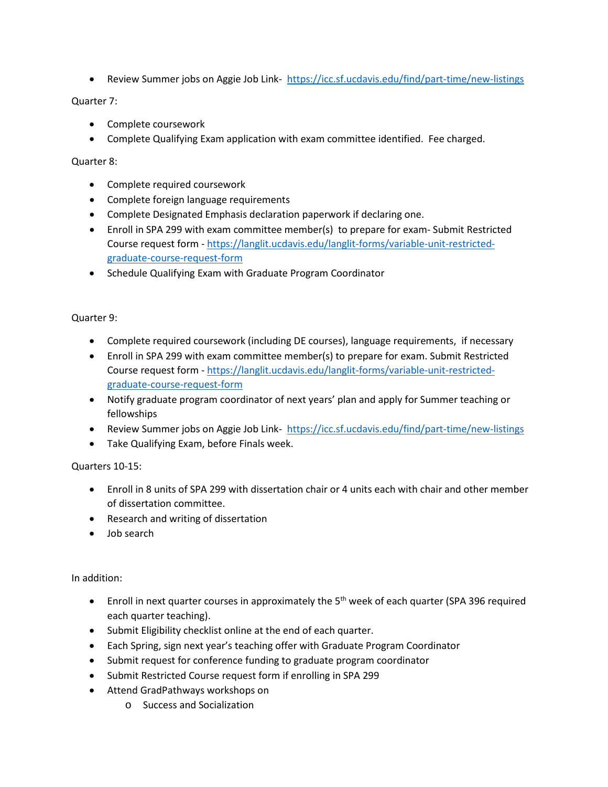• Review Summer jobs on Aggie Job Link- <https://icc.sf.ucdavis.edu/find/part-time/new-listings>

### Quarter 7:

- Complete coursework
- Complete Qualifying Exam application with exam committee identified. Fee charged.

### Quarter 8:

- Complete required coursework
- Complete foreign language requirements
- Complete Designated Emphasis declaration paperwork if declaring one.
- Enroll in SPA 299 with exam committee member(s) to prepare for exam- Submit Restricted Course request form - [https://langlit.ucdavis.edu/langlit-forms/variable-unit-restricted](https://langlit.ucdavis.edu/langlit-forms/variable-unit-restricted-graduate-course-request-form)[graduate-course-request-form](https://langlit.ucdavis.edu/langlit-forms/variable-unit-restricted-graduate-course-request-form)
- Schedule Qualifying Exam with Graduate Program Coordinator

#### Quarter 9:

- Complete required coursework (including DE courses), language requirements, if necessary
- Enroll in SPA 299 with exam committee member(s) to prepare for exam. Submit Restricted Course request form - [https://langlit.ucdavis.edu/langlit-forms/variable-unit-restricted](https://langlit.ucdavis.edu/langlit-forms/variable-unit-restricted-graduate-course-request-form)[graduate-course-request-form](https://langlit.ucdavis.edu/langlit-forms/variable-unit-restricted-graduate-course-request-form)
- Notify graduate program coordinator of next years' plan and apply for Summer teaching or fellowships
- Review Summer jobs on Aggie Job Link- <https://icc.sf.ucdavis.edu/find/part-time/new-listings>
- Take Qualifying Exam, before Finals week.

## Quarters 10-15:

- Enroll in 8 units of SPA 299 with dissertation chair or 4 units each with chair and other member of dissertation committee.
- Research and writing of dissertation
- Job search

#### In addition:

- Enroll in next quarter courses in approximately the  $5<sup>th</sup>$  week of each quarter (SPA 396 required each quarter teaching).
- Submit Eligibility checklist online at the end of each quarter.
- Each Spring, sign next year's teaching offer with Graduate Program Coordinator
- Submit request for conference funding to graduate program coordinator
- Submit Restricted Course request form if enrolling in SPA 299
- Attend GradPathways workshops on
	- o Success and Socialization